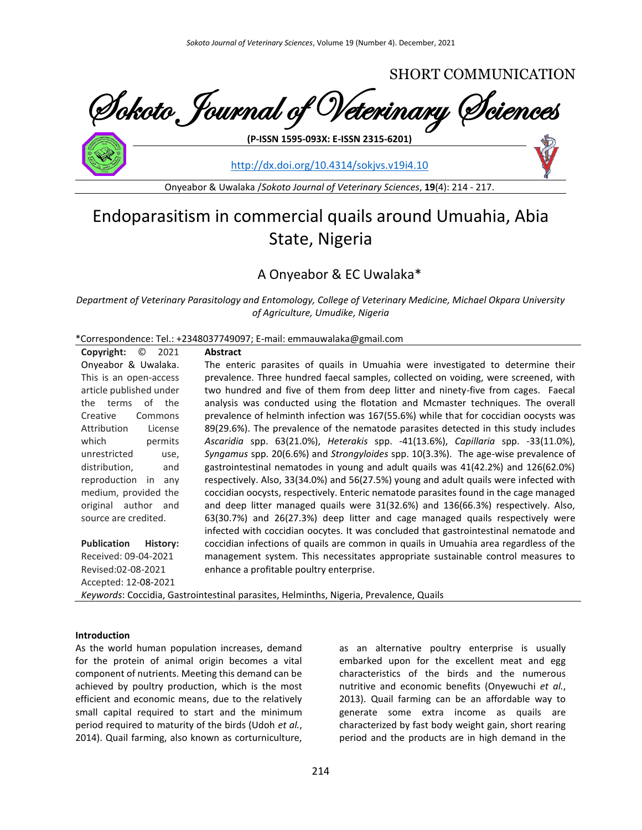

<http://dx.doi.org/10.4314/sokjvs.v19i4.10>

Onyeabor & Uwalaka /*Sokoto Journal of Veterinary Sciences*, **19**(4): 214 - 217.

# Endoparasitism in commercial quails around Umuahia, Abia State, Nigeria

# A Onyeabor & EC Uwalaka\*

*Department of Veterinary Parasitology and Entomology, College of Veterinary Medicine, Michael Okpara University of Agriculture, Umudike, Nigeria*

\*Correspondence: Tel.: +2348037749097; E-mail: emmauwalaka@gmail.com

| $\odot$<br>Copyright:<br>2021                                                          | <b>Abstract</b>                                                                       |  |  |
|----------------------------------------------------------------------------------------|---------------------------------------------------------------------------------------|--|--|
| Onyeabor & Uwalaka.                                                                    | The enteric parasites of quails in Umuahia were investigated to determine their       |  |  |
| This is an open-access                                                                 | prevalence. Three hundred faecal samples, collected on voiding, were screened, with   |  |  |
| article published under                                                                | two hundred and five of them from deep litter and ninety-five from cages. Faecal      |  |  |
| of the<br>the terms                                                                    | analysis was conducted using the flotation and Mcmaster techniques. The overall       |  |  |
| Creative<br>Commons                                                                    | prevalence of helminth infection was 167(55.6%) while that for coccidian oocysts was  |  |  |
| Attribution<br>License                                                                 | 89(29.6%). The prevalence of the nematode parasites detected in this study includes   |  |  |
| which<br>permits                                                                       | Ascaridia spp. 63(21.0%), Heterakis spp. -41(13.6%), Capillaria spp. -33(11.0%),      |  |  |
| unrestricted<br>use,                                                                   | Syngamus spp. 20(6.6%) and Strongyloides spp. 10(3.3%). The age-wise prevalence of    |  |  |
| distribution,<br>and                                                                   | gastrointestinal nematodes in young and adult quails was 41(42.2%) and 126(62.0%)     |  |  |
| reproduction in<br>anv                                                                 | respectively. Also, 33(34.0%) and 56(27.5%) young and adult quails were infected with |  |  |
| medium, provided the                                                                   | coccidian oocysts, respectively. Enteric nematode parasites found in the cage managed |  |  |
| original author<br>and                                                                 | and deep litter managed quails were 31(32.6%) and 136(66.3%) respectively. Also,      |  |  |
| source are credited.                                                                   | 63(30.7%) and 26(27.3%) deep litter and cage managed quails respectively were         |  |  |
|                                                                                        | infected with coccidian oocytes. It was concluded that gastrointestinal nematode and  |  |  |
| <b>Publication</b><br>History:                                                         | coccidian infections of quails are common in quails in Umuahia area regardless of the |  |  |
| Received: 09-04-2021                                                                   | management system. This necessitates appropriate sustainable control measures to      |  |  |
| Revised:02-08-2021                                                                     | enhance a profitable poultry enterprise.                                              |  |  |
| Accepted: 12-08-2021                                                                   |                                                                                       |  |  |
| Keywords: Coccidia, Gastrointestinal parasites, Helminths, Nigeria, Prevalence, Quails |                                                                                       |  |  |

#### **Introduction**

As the world human population increases, demand for the protein of animal origin becomes a vital component of nutrients. Meeting this demand can be achieved by poultry production, which is the most efficient and economic means, due to the relatively small capital required to start and the minimum period required to maturity of the birds (Udoh *et al.*, 2014). Quail farming, also known as corturniculture,

as an alternative poultry enterprise is usually embarked upon for the excellent meat and egg characteristics of the birds and the numerous nutritive and economic benefits (Onyewuchi *et al.*, 2013). Quail farming can be an affordable way to generate some extra income as quails are characterized by fast body weight gain, short rearing period and the products are in high demand in the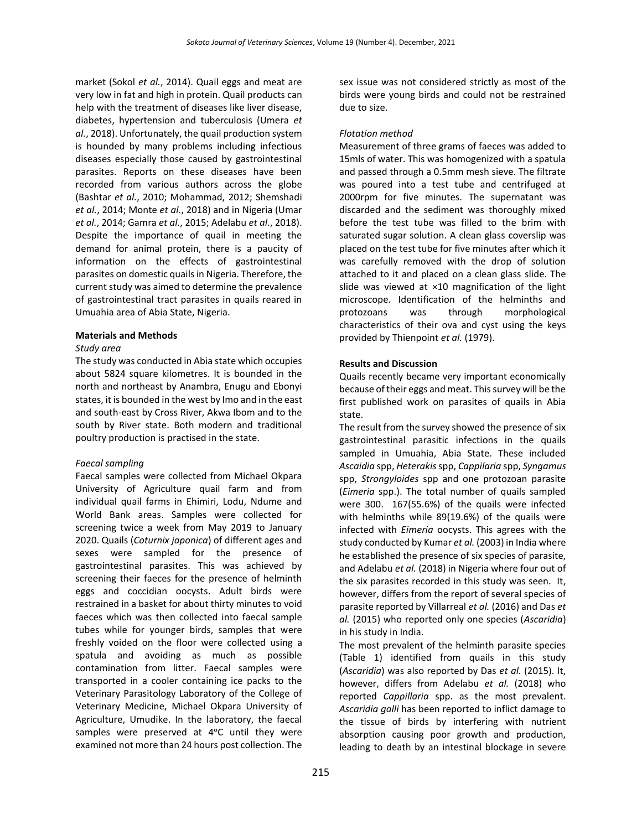market (Sokol *et al.*, 2014). Quail eggs and meat are very low in fat and high in protein. Quail products can help with the treatment of diseases like liver disease, diabetes, hypertension and tuberculosis (Umera *et al.*, 2018). Unfortunately, the quail production system is hounded by many problems including infectious diseases especially those caused by gastrointestinal parasites. Reports on these diseases have been recorded from various authors across the globe (Bashtar *et al.*, 2010; Mohammad, 2012; Shemshadi *et al.*, 2014; Monte *et al.*, 2018) and in Nigeria (Umar *et al.*, 2014; Gamra *et al.*, 2015; Adelabu *et al.*, 2018). Despite the importance of quail in meeting the demand for animal protein, there is a paucity of information on the effects of gastrointestinal parasites on domestic quails in Nigeria. Therefore, the current study was aimed to determine the prevalence of gastrointestinal tract parasites in quails reared in Umuahia area of Abia State, Nigeria.

#### **Materials and Methods**

## *Study area*

The study was conducted in Abia state which occupies about 5824 square kilometres. It is bounded in the north and northeast by Anambra, Enugu and Ebonyi states, it is bounded in the west by Imo and in the east and south-east by Cross River, Akwa Ibom and to the south by River state. Both modern and traditional poultry production is practised in the state.

## *Faecal sampling*

Faecal samples were collected from Michael Okpara University of Agriculture quail farm and from individual quail farms in Ehimiri, Lodu, Ndume and World Bank areas. Samples were collected for screening twice a week from May 2019 to January 2020. Quails (*Coturnix japonica*) of different ages and sexes were sampled for the presence of gastrointestinal parasites. This was achieved by screening their faeces for the presence of helminth eggs and coccidian oocysts. Adult birds were restrained in a basket for about thirty minutes to void faeces which was then collected into faecal sample tubes while for younger birds, samples that were freshly voided on the floor were collected using a spatula and avoiding as much as possible contamination from litter. Faecal samples were transported in a cooler containing ice packs to the Veterinary Parasitology Laboratory of the College of Veterinary Medicine, Michael Okpara University of Agriculture, Umudike. In the laboratory, the faecal samples were preserved at 4°C until they were examined not more than 24 hours post collection. The

sex issue was not considered strictly as most of the birds were young birds and could not be restrained due to size.

## *Flotation method*

Measurement of three grams of faeces was added to 15mls of water. This was homogenized with a spatula and passed through a 0.5mm mesh sieve. The filtrate was poured into a test tube and centrifuged at 2000rpm for five minutes. The supernatant was discarded and the sediment was thoroughly mixed before the test tube was filled to the brim with saturated sugar solution. A clean glass coverslip was placed on the test tube for five minutes after which it was carefully removed with the drop of solution attached to it and placed on a clean glass slide. The slide was viewed at ×10 magnification of the light microscope. Identification of the helminths and protozoans was through morphological characteristics of their ova and cyst using the keys provided by Thienpoint *et al.* (1979).

# **Results and Discussion**

Quails recently became very important economically because of their eggs and meat. This survey will be the first published work on parasites of quails in Abia state.

The result from the survey showed the presence of six gastrointestinal parasitic infections in the quails sampled in Umuahia, Abia State. These included *Ascaidia* spp, *Heterakis*spp, *Cappilaria* spp, *Syngamus* spp, *Strongyloides* spp and one protozoan parasite (*Eimeria* spp.). The total number of quails sampled were 300. 167(55.6%) of the quails were infected with helminths while 89(19.6%) of the quails were infected with *Eimeria* oocysts. This agrees with the study conducted by Kumar *et al.* (2003) in India where he established the presence of six species of parasite, and Adelabu *et al.* (2018) in Nigeria where four out of the six parasites recorded in this study was seen. It, however, differs from the report of several species of parasite reported by Villarreal *et al.* (2016) and Das *et al.* (2015) who reported only one species (*Ascaridia*) in his study in India.

The most prevalent of the helminth parasite species (Table 1) identified from quails in this study (*Ascaridia*) was also reported by Das *et al.* (2015). It, however, differs from Adelabu *et al.* (2018) who reported *Cappillaria* spp. as the most prevalent. *Ascaridia galli* has been reported to inflict damage to the tissue of birds by interfering with nutrient absorption causing poor growth and production, leading to death by an intestinal blockage in severe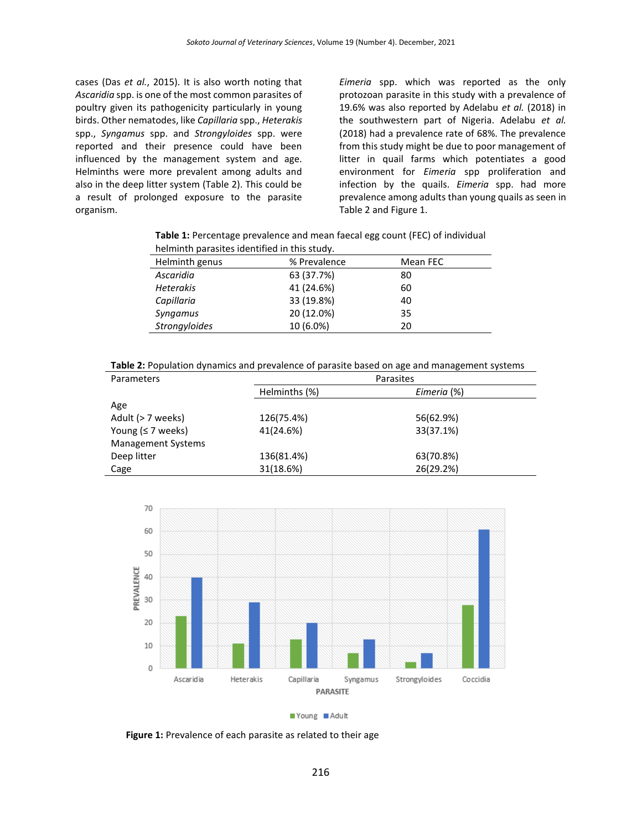cases (Das *et al.*, 2015). It is also worth noting that *Ascaridia* spp. is one of the most common parasites of poultry given its pathogenicity particularly in young birds. Other nematodes, like *Capillaria* spp., *Heterakis* spp., *Syngamus* spp. and *Strongyloides* spp. were reported and their presence could have been influenced by the management system and age. Helminths were more prevalent among adults and also in the deep litter system (Table 2). This could be a result of prolonged exposure to the parasite organism.

*Eimeria* spp. which was reported as the only protozoan parasite in this study with a prevalence of 19.6% was also reported by Adelabu *et al.* (2018) in the southwestern part of Nigeria. Adelabu *et al.* (2018) had a prevalence rate of 68%. The prevalence from this study might be due to poor management of litter in quail farms which potentiates a good environment for *Eimeria* spp proliferation and infection by the quails. *Eimeria* spp. had more prevalence among adults than young quails as seen in Table 2 and Figure 1.

**Table 1:** Percentage prevalence and mean faecal egg count (FEC) of individual helminth parasites identified in this study.

| <u>Hellillitti parasites identified in this study.</u> |              |          |  |
|--------------------------------------------------------|--------------|----------|--|
| Helminth genus                                         | % Prevalence | Mean FEC |  |
| Ascaridia                                              | 63 (37.7%)   | 80       |  |
| <b>Heterakis</b>                                       | 41 (24.6%)   | 60       |  |
| Capillaria                                             | 33 (19.8%)   | 40       |  |
| Syngamus                                               | 20 (12.0%)   | 35       |  |
| <b>Strongyloides</b>                                   | 10 (6.0%)    | 20       |  |
|                                                        |              |          |  |

**Table 2:** Population dynamics and prevalence of parasite based on age and management systems

| <b>Parameters</b>         | Parasites     |             |  |
|---------------------------|---------------|-------------|--|
|                           | Helminths (%) | Eimeria (%) |  |
| Age                       |               |             |  |
| Adult (> 7 weeks)         | 126(75.4%)    | 56(62.9%)   |  |
| Young ( $\leq$ 7 weeks)   | 41(24.6%)     | 33(37.1%)   |  |
| <b>Management Systems</b> |               |             |  |
| Deep litter               | 136(81.4%)    | 63(70.8%)   |  |
| Cage                      | 31(18.6%)     | 26(29.2%)   |  |



Young Adult

**Figure 1:** Prevalence of each parasite as related to their age